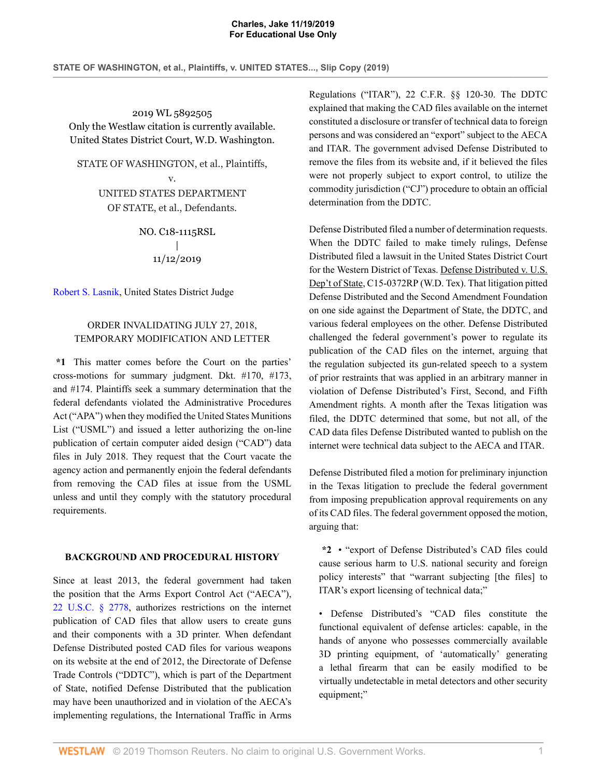2019 WL 5892505 Only the Westlaw citation is currently available. United States District Court, W.D. Washington.

STATE OF WASHINGTON, et al., Plaintiffs,

v. UNITED STATES DEPARTMENT OF STATE, et al., Defendants.

> NO. C18-1115RSL | 11/12/2019

[Robert S. Lasnik](http://www.westlaw.com/Link/Document/FullText?findType=h&pubNum=176284&cite=0170104401&originatingDoc=I0fdb70a005f411eab410ab1c3b910894&refType=RQ&originationContext=document&vr=3.0&rs=cblt1.0&transitionType=DocumentItem&contextData=(sc.AlertsClip)), United States District Judge

## ORDER INVALIDATING JULY 27, 2018, TEMPORARY MODIFICATION AND LETTER

**\*1** This matter comes before the Court on the parties' cross-motions for summary judgment. Dkt. #170, #173, and #174. Plaintiffs seek a summary determination that the federal defendants violated the Administrative Procedures Act ("APA") when they modified the United States Munitions List ("USML") and issued a letter authorizing the on-line publication of certain computer aided design ("CAD") data files in July 2018. They request that the Court vacate the agency action and permanently enjoin the federal defendants from removing the CAD files at issue from the USML unless and until they comply with the statutory procedural requirements.

#### **BACKGROUND AND PROCEDURAL HISTORY**

Since at least 2013, the federal government had taken the position that the Arms Export Control Act ("AECA"), [22 U.S.C. § 2778](http://www.westlaw.com/Link/Document/FullText?findType=L&pubNum=1000546&cite=22USCAS2778&originatingDoc=I0fdb70a005f411eab410ab1c3b910894&refType=LQ&originationContext=document&vr=3.0&rs=cblt1.0&transitionType=DocumentItem&contextData=(sc.AlertsClip)), authorizes restrictions on the internet publication of CAD files that allow users to create guns and their components with a 3D printer. When defendant Defense Distributed posted CAD files for various weapons on its website at the end of 2012, the Directorate of Defense Trade Controls ("DDTC"), which is part of the Department of State, notified Defense Distributed that the publication may have been unauthorized and in violation of the AECA's implementing regulations, the International Traffic in Arms

Regulations ("ITAR"), 22 C.F.R. §§ 120-30. The DDTC explained that making the CAD files available on the internet constituted a disclosure or transfer of technical data to foreign persons and was considered an "export" subject to the AECA and ITAR. The government advised Defense Distributed to remove the files from its website and, if it believed the files were not properly subject to export control, to utilize the commodity jurisdiction ("CJ") procedure to obtain an official determination from the DDTC.

Defense Distributed filed a number of determination requests. When the DDTC failed to make timely rulings, Defense Distributed filed a lawsuit in the United States District Court for the Western District of Texas. Defense Distributed v. U.S. Dep't of State, C15-0372RP (W.D. Tex). That litigation pitted Defense Distributed and the Second Amendment Foundation on one side against the Department of State, the DDTC, and various federal employees on the other. Defense Distributed challenged the federal government's power to regulate its publication of the CAD files on the internet, arguing that the regulation subjected its gun-related speech to a system of prior restraints that was applied in an arbitrary manner in violation of Defense Distributed's First, Second, and Fifth Amendment rights. A month after the Texas litigation was filed, the DDTC determined that some, but not all, of the CAD data files Defense Distributed wanted to publish on the internet were technical data subject to the AECA and ITAR.

Defense Distributed filed a motion for preliminary injunction in the Texas litigation to preclude the federal government from imposing prepublication approval requirements on any of its CAD files. The federal government opposed the motion, arguing that:

**\*2** • "export of Defense Distributed's CAD files could cause serious harm to U.S. national security and foreign policy interests" that "warrant subjecting [the files] to ITAR's export licensing of technical data;"

• Defense Distributed's "CAD files constitute the functional equivalent of defense articles: capable, in the hands of anyone who possesses commercially available 3D printing equipment, of 'automatically' generating a lethal firearm that can be easily modified to be virtually undetectable in metal detectors and other security equipment;"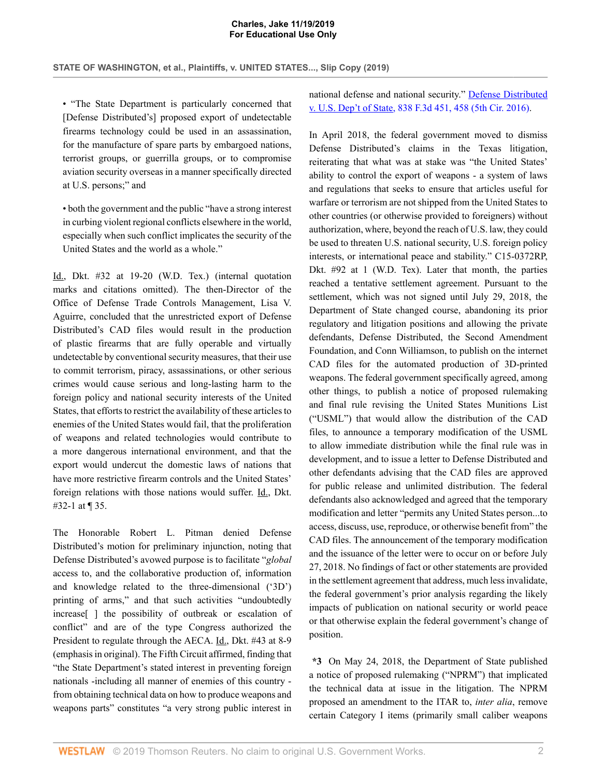• "The State Department is particularly concerned that [Defense Distributed's] proposed export of undetectable firearms technology could be used in an assassination, for the manufacture of spare parts by embargoed nations, terrorist groups, or guerrilla groups, or to compromise aviation security overseas in a manner specifically directed at U.S. persons;" and

• both the government and the public "have a strong interest in curbing violent regional conflicts elsewhere in the world, especially when such conflict implicates the security of the United States and the world as a whole."

Id., Dkt. #32 at 19-20 (W.D. Tex.) (internal quotation marks and citations omitted). The then-Director of the Office of Defense Trade Controls Management, Lisa V. Aguirre, concluded that the unrestricted export of Defense Distributed's CAD files would result in the production of plastic firearms that are fully operable and virtually undetectable by conventional security measures, that their use to commit terrorism, piracy, assassinations, or other serious crimes would cause serious and long-lasting harm to the foreign policy and national security interests of the United States, that efforts to restrict the availability of these articles to enemies of the United States would fail, that the proliferation of weapons and related technologies would contribute to a more dangerous international environment, and that the export would undercut the domestic laws of nations that have more restrictive firearm controls and the United States' foreign relations with those nations would suffer. Id., Dkt. #32-1 at ¶ 35.

The Honorable Robert L. Pitman denied Defense Distributed's motion for preliminary injunction, noting that Defense Distributed's avowed purpose is to facilitate "*global* access to, and the collaborative production of, information and knowledge related to the three-dimensional ('3D') printing of arms," and that such activities "undoubtedly increase[ ] the possibility of outbreak or escalation of conflict" and are of the type Congress authorized the President to regulate through the AECA. Id., Dkt. #43 at 8-9 (emphasis in original). The Fifth Circuit affirmed, finding that "the State Department's stated interest in preventing foreign nationals -including all manner of enemies of this country from obtaining technical data on how to produce weapons and weapons parts" constitutes "a very strong public interest in

national defense and national security." [Defense Distributed](http://www.westlaw.com/Link/Document/FullText?findType=Y&serNum=2039869179&pubNum=0000506&originatingDoc=I0fdb70a005f411eab410ab1c3b910894&refType=RP&fi=co_pp_sp_506_458&originationContext=document&vr=3.0&rs=cblt1.0&transitionType=DocumentItem&contextData=(sc.AlertsClip)#co_pp_sp_506_458) [v. U.S. Dep't of State, 838 F.3d 451, 458 \(5th Cir. 2016\)](http://www.westlaw.com/Link/Document/FullText?findType=Y&serNum=2039869179&pubNum=0000506&originatingDoc=I0fdb70a005f411eab410ab1c3b910894&refType=RP&fi=co_pp_sp_506_458&originationContext=document&vr=3.0&rs=cblt1.0&transitionType=DocumentItem&contextData=(sc.AlertsClip)#co_pp_sp_506_458).

In April 2018, the federal government moved to dismiss Defense Distributed's claims in the Texas litigation, reiterating that what was at stake was "the United States' ability to control the export of weapons - a system of laws and regulations that seeks to ensure that articles useful for warfare or terrorism are not shipped from the United States to other countries (or otherwise provided to foreigners) without authorization, where, beyond the reach of U.S. law, they could be used to threaten U.S. national security, U.S. foreign policy interests, or international peace and stability." C15-0372RP, Dkt. #92 at 1 (W.D. Tex). Later that month, the parties reached a tentative settlement agreement. Pursuant to the settlement, which was not signed until July 29, 2018, the Department of State changed course, abandoning its prior regulatory and litigation positions and allowing the private defendants, Defense Distributed, the Second Amendment Foundation, and Conn Williamson, to publish on the internet CAD files for the automated production of 3D-printed weapons. The federal government specifically agreed, among other things, to publish a notice of proposed rulemaking and final rule revising the United States Munitions List ("USML") that would allow the distribution of the CAD files, to announce a temporary modification of the USML to allow immediate distribution while the final rule was in development, and to issue a letter to Defense Distributed and other defendants advising that the CAD files are approved for public release and unlimited distribution. The federal defendants also acknowledged and agreed that the temporary modification and letter "permits any United States person...to access, discuss, use, reproduce, or otherwise benefit from" the CAD files. The announcement of the temporary modification and the issuance of the letter were to occur on or before July 27, 2018. No findings of fact or other statements are provided in the settlement agreement that address, much less invalidate, the federal government's prior analysis regarding the likely impacts of publication on national security or world peace or that otherwise explain the federal government's change of position.

**\*3** On May 24, 2018, the Department of State published a notice of proposed rulemaking ("NPRM") that implicated the technical data at issue in the litigation. The NPRM proposed an amendment to the ITAR to, *inter alia*, remove certain Category I items (primarily small caliber weapons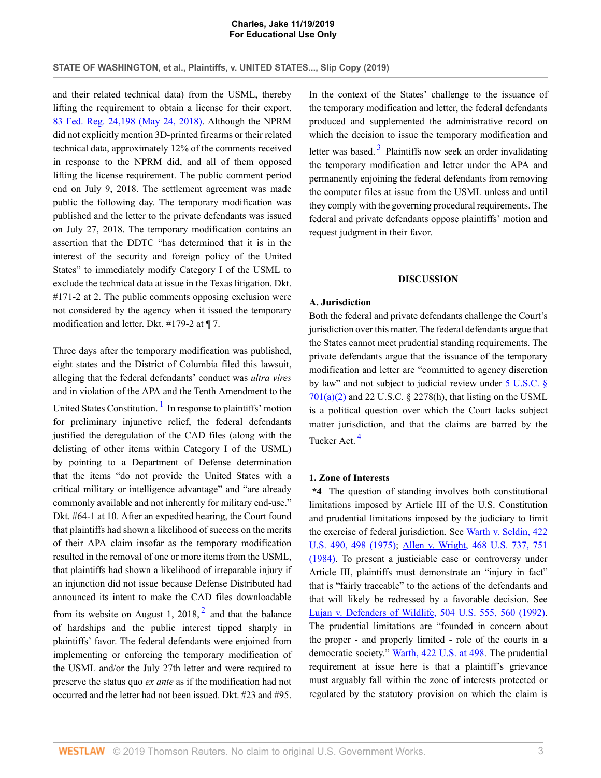and their related technical data) from the USML, thereby lifting the requirement to obtain a license for their export. [83 Fed. Reg. 24,198 \(May 24, 2018\).](http://www.westlaw.com/Link/Document/FullText?findType=l&pubNum=0001037&cite=UUID(I574323105F2011E8945B95D18DE10AB4)&originatingDoc=I0fdb70a005f411eab410ab1c3b910894&refType=CP&fi=co_pp_sp_1037_24198&originationContext=document&vr=3.0&rs=cblt1.0&transitionType=DocumentItem&contextData=(sc.AlertsClip)#co_pp_sp_1037_24198) Although the NPRM did not explicitly mention 3D-printed firearms or their related technical data, approximately 12% of the comments received in response to the NPRM did, and all of them opposed lifting the license requirement. The public comment period end on July 9, 2018. The settlement agreement was made public the following day. The temporary modification was published and the letter to the private defendants was issued on July 27, 2018. The temporary modification contains an assertion that the DDTC "has determined that it is in the interest of the security and foreign policy of the United States" to immediately modify Category I of the USML to exclude the technical data at issue in the Texas litigation. Dkt. #171-2 at 2. The public comments opposing exclusion were not considered by the agency when it issued the temporary modification and letter. Dkt. #179-2 at ¶ 7.

<span id="page-2-0"></span>Three days after the temporary modification was published, eight states and the District of Columbia filed this lawsuit, alleging that the federal defendants' conduct was *ultra vires* and in violation of the APA and the Tenth Amendment to the United States Constitution.<sup>[1](#page-9-0)</sup> In response to plaintiffs' motion for preliminary injunctive relief, the federal defendants justified the deregulation of the CAD files (along with the delisting of other items within Category I of the USML) by pointing to a Department of Defense determination that the items "do not provide the United States with a critical military or intelligence advantage" and "are already commonly available and not inherently for military end-use." Dkt. #64-1 at 10. After an expedited hearing, the Court found that plaintiffs had shown a likelihood of success on the merits of their APA claim insofar as the temporary modification resulted in the removal of one or more items from the USML, that plaintiffs had shown a likelihood of irreparable injury if an injunction did not issue because Defense Distributed had announced its intent to make the CAD files downloadable from its website on August 1, [2](#page-9-1)018,  $2$  and that the balance of hardships and the public interest tipped sharply in plaintiffs' favor. The federal defendants were enjoined from implementing or enforcing the temporary modification of the USML and/or the July 27th letter and were required to preserve the status quo *ex ante* as if the modification had not occurred and the letter had not been issued. Dkt. #23 and #95.

<span id="page-2-2"></span>In the context of the States' challenge to the issuance of the temporary modification and letter, the federal defendants produced and supplemented the administrative record on which the decision to issue the temporary modification and letter was based.<sup>[3](#page-9-2)</sup> Plaintiffs now seek an order invalidating the temporary modification and letter under the APA and permanently enjoining the federal defendants from removing the computer files at issue from the USML unless and until they comply with the governing procedural requirements. The federal and private defendants oppose plaintiffs' motion and request judgment in their favor.

## **DISCUSSION**

## **A. Jurisdiction**

Both the federal and private defendants challenge the Court's jurisdiction over this matter. The federal defendants argue that the States cannot meet prudential standing requirements. The private defendants argue that the issuance of the temporary modification and letter are "committed to agency discretion by law" and not subject to judicial review under [5 U.S.C. §](http://www.westlaw.com/Link/Document/FullText?findType=L&pubNum=1000546&cite=5USCAS701&originatingDoc=I0fdb70a005f411eab410ab1c3b910894&refType=RB&originationContext=document&vr=3.0&rs=cblt1.0&transitionType=DocumentItem&contextData=(sc.AlertsClip)#co_pp_d86d0000be040)  $701(a)(2)$  and 22 U.S.C. § 2278(h), that listing on the USML is a political question over which the Court lacks subject matter jurisdiction, and that the claims are barred by the Tucker Act. [4](#page-9-3)

### <span id="page-2-3"></span>**1. Zone of Interests**

<span id="page-2-1"></span>**\*4** The question of standing involves both constitutional limitations imposed by Article III of the U.S. Constitution and prudential limitations imposed by the judiciary to limit the exercise of federal jurisdiction. See [Warth v. Seldin, 422](http://www.westlaw.com/Link/Document/FullText?findType=Y&serNum=1975129820&pubNum=0000780&originatingDoc=I0fdb70a005f411eab410ab1c3b910894&refType=RP&fi=co_pp_sp_780_498&originationContext=document&vr=3.0&rs=cblt1.0&transitionType=DocumentItem&contextData=(sc.AlertsClip)#co_pp_sp_780_498) [U.S. 490, 498 \(1975\);](http://www.westlaw.com/Link/Document/FullText?findType=Y&serNum=1975129820&pubNum=0000780&originatingDoc=I0fdb70a005f411eab410ab1c3b910894&refType=RP&fi=co_pp_sp_780_498&originationContext=document&vr=3.0&rs=cblt1.0&transitionType=DocumentItem&contextData=(sc.AlertsClip)#co_pp_sp_780_498) [Allen v. Wright, 468 U.S. 737, 751](http://www.westlaw.com/Link/Document/FullText?findType=Y&serNum=1984132352&pubNum=0000780&originatingDoc=I0fdb70a005f411eab410ab1c3b910894&refType=RP&fi=co_pp_sp_780_751&originationContext=document&vr=3.0&rs=cblt1.0&transitionType=DocumentItem&contextData=(sc.AlertsClip)#co_pp_sp_780_751) [\(1984\).](http://www.westlaw.com/Link/Document/FullText?findType=Y&serNum=1984132352&pubNum=0000780&originatingDoc=I0fdb70a005f411eab410ab1c3b910894&refType=RP&fi=co_pp_sp_780_751&originationContext=document&vr=3.0&rs=cblt1.0&transitionType=DocumentItem&contextData=(sc.AlertsClip)#co_pp_sp_780_751) To present a justiciable case or controversy under Article III, plaintiffs must demonstrate an "injury in fact" that is "fairly traceable" to the actions of the defendants and that will likely be redressed by a favorable decision. See [Lujan v. Defenders of Wildlife, 504 U.S. 555, 560 \(1992\)](http://www.westlaw.com/Link/Document/FullText?findType=Y&serNum=1992106162&pubNum=0000780&originatingDoc=I0fdb70a005f411eab410ab1c3b910894&refType=RP&fi=co_pp_sp_780_560&originationContext=document&vr=3.0&rs=cblt1.0&transitionType=DocumentItem&contextData=(sc.AlertsClip)#co_pp_sp_780_560). The prudential limitations are "founded in concern about the proper - and properly limited - role of the courts in a democratic society." [Warth, 422 U.S. at 498](http://www.westlaw.com/Link/Document/FullText?findType=Y&serNum=1975129820&pubNum=0000780&originatingDoc=I0fdb70a005f411eab410ab1c3b910894&refType=RP&fi=co_pp_sp_780_498&originationContext=document&vr=3.0&rs=cblt1.0&transitionType=DocumentItem&contextData=(sc.AlertsClip)#co_pp_sp_780_498). The prudential requirement at issue here is that a plaintiff's grievance must arguably fall within the zone of interests protected or regulated by the statutory provision on which the claim is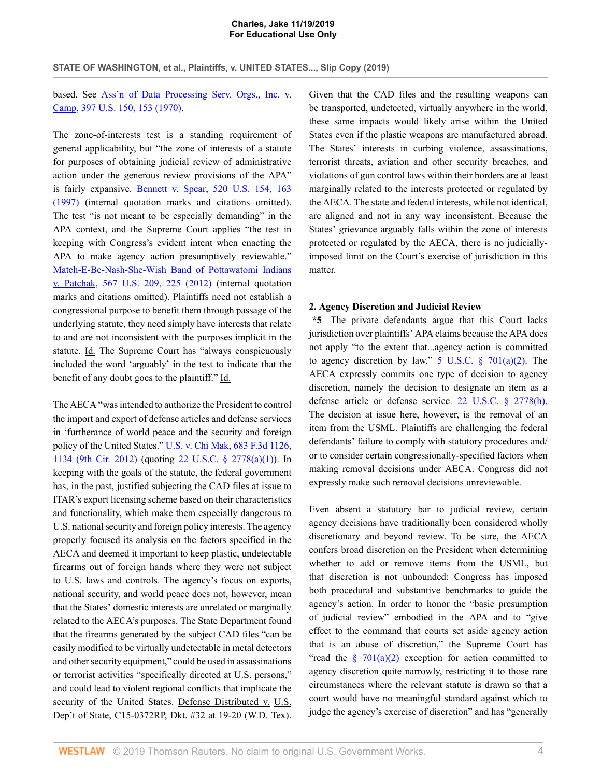**STATE OF WASHINGTON, et al., Plaintiffs, v. UNITED STATES..., Slip Copy (2019)**

## based. See [Ass'n of Data Processing Serv. Orgs., Inc. v.](http://www.westlaw.com/Link/Document/FullText?findType=Y&serNum=1970134189&pubNum=0000780&originatingDoc=I0fdb70a005f411eab410ab1c3b910894&refType=RP&fi=co_pp_sp_780_153&originationContext=document&vr=3.0&rs=cblt1.0&transitionType=DocumentItem&contextData=(sc.AlertsClip)#co_pp_sp_780_153) [Camp, 397 U.S. 150, 153 \(1970\).](http://www.westlaw.com/Link/Document/FullText?findType=Y&serNum=1970134189&pubNum=0000780&originatingDoc=I0fdb70a005f411eab410ab1c3b910894&refType=RP&fi=co_pp_sp_780_153&originationContext=document&vr=3.0&rs=cblt1.0&transitionType=DocumentItem&contextData=(sc.AlertsClip)#co_pp_sp_780_153)

The zone-of-interests test is a standing requirement of general applicability, but "the zone of interests of a statute for purposes of obtaining judicial review of administrative action under the generous review provisions of the APA" is fairly expansive. [Bennett v. Spear, 520 U.S. 154, 163](http://www.westlaw.com/Link/Document/FullText?findType=Y&serNum=1997071742&pubNum=0000780&originatingDoc=I0fdb70a005f411eab410ab1c3b910894&refType=RP&fi=co_pp_sp_780_163&originationContext=document&vr=3.0&rs=cblt1.0&transitionType=DocumentItem&contextData=(sc.AlertsClip)#co_pp_sp_780_163) [\(1997\)](http://www.westlaw.com/Link/Document/FullText?findType=Y&serNum=1997071742&pubNum=0000780&originatingDoc=I0fdb70a005f411eab410ab1c3b910894&refType=RP&fi=co_pp_sp_780_163&originationContext=document&vr=3.0&rs=cblt1.0&transitionType=DocumentItem&contextData=(sc.AlertsClip)#co_pp_sp_780_163) (internal quotation marks and citations omitted). The test "is not meant to be especially demanding" in the APA context, and the Supreme Court applies "the test in keeping with Congress's evident intent when enacting the APA to make agency action presumptively reviewable." [Match-E-Be-Nash-She-Wish Band of Pottawatomi Indians](http://www.westlaw.com/Link/Document/FullText?findType=Y&serNum=2027916285&pubNum=0000780&originatingDoc=I0fdb70a005f411eab410ab1c3b910894&refType=RP&fi=co_pp_sp_780_225&originationContext=document&vr=3.0&rs=cblt1.0&transitionType=DocumentItem&contextData=(sc.AlertsClip)#co_pp_sp_780_225) [v. Patchak, 567 U.S. 209, 225 \(2012\)](http://www.westlaw.com/Link/Document/FullText?findType=Y&serNum=2027916285&pubNum=0000780&originatingDoc=I0fdb70a005f411eab410ab1c3b910894&refType=RP&fi=co_pp_sp_780_225&originationContext=document&vr=3.0&rs=cblt1.0&transitionType=DocumentItem&contextData=(sc.AlertsClip)#co_pp_sp_780_225) (internal quotation marks and citations omitted). Plaintiffs need not establish a congressional purpose to benefit them through passage of the underlying statute, they need simply have interests that relate to and are not inconsistent with the purposes implicit in the statute. Id. The Supreme Court has "always conspicuously included the word 'arguably' in the test to indicate that the benefit of any doubt goes to the plaintiff." Id.

The AECA "was intended to authorize the President to control the import and export of defense articles and defense services in 'furtherance of world peace and the security and foreign policy of the United States." [U.S. v. Chi Mak, 683 F.3d 1126,](http://www.westlaw.com/Link/Document/FullText?findType=Y&serNum=2027956137&pubNum=0000506&originatingDoc=I0fdb70a005f411eab410ab1c3b910894&refType=RP&fi=co_pp_sp_506_1134&originationContext=document&vr=3.0&rs=cblt1.0&transitionType=DocumentItem&contextData=(sc.AlertsClip)#co_pp_sp_506_1134) [1134 \(9th Cir. 2012\)](http://www.westlaw.com/Link/Document/FullText?findType=Y&serNum=2027956137&pubNum=0000506&originatingDoc=I0fdb70a005f411eab410ab1c3b910894&refType=RP&fi=co_pp_sp_506_1134&originationContext=document&vr=3.0&rs=cblt1.0&transitionType=DocumentItem&contextData=(sc.AlertsClip)#co_pp_sp_506_1134) (quoting [22 U.S.C. § 2778\(a\)\(1\)\)](http://www.westlaw.com/Link/Document/FullText?findType=L&pubNum=1000546&cite=22USCAS2778&originatingDoc=I0fdb70a005f411eab410ab1c3b910894&refType=RB&originationContext=document&vr=3.0&rs=cblt1.0&transitionType=DocumentItem&contextData=(sc.AlertsClip)#co_pp_7b9b000044381). In keeping with the goals of the statute, the federal government has, in the past, justified subjecting the CAD files at issue to ITAR's export licensing scheme based on their characteristics and functionality, which make them especially dangerous to U.S. national security and foreign policy interests. The agency properly focused its analysis on the factors specified in the AECA and deemed it important to keep plastic, undetectable firearms out of foreign hands where they were not subject to U.S. laws and controls. The agency's focus on exports, national security, and world peace does not, however, mean that the States' domestic interests are unrelated or marginally related to the AECA's purposes. The State Department found that the firearms generated by the subject CAD files "can be easily modified to be virtually undetectable in metal detectors and other security equipment," could be used in assassinations or terrorist activities "specifically directed at U.S. persons," and could lead to violent regional conflicts that implicate the security of the United States. Defense Distributed v. U.S. Dep't of State, C15-0372RP, Dkt. #32 at 19-20 (W.D. Tex). Given that the CAD files and the resulting weapons can be transported, undetected, virtually anywhere in the world, these same impacts would likely arise within the United States even if the plastic weapons are manufactured abroad. The States' interests in curbing violence, assassinations, terrorist threats, aviation and other security breaches, and violations of gun control laws within their borders are at least marginally related to the interests protected or regulated by the AECA. The state and federal interests, while not identical, are aligned and not in any way inconsistent. Because the States' grievance arguably falls within the zone of interests protected or regulated by the AECA, there is no judiciallyimposed limit on the Court's exercise of jurisdiction in this matter.

### **2. Agency Discretion and Judicial Review**

**\*5** The private defendants argue that this Court lacks jurisdiction over plaintiffs' APA claims because the APA does not apply "to the extent that...agency action is committed to agency discretion by law."  $5 \text{ U.S.C. }$   $\frac{6}{9}$   $701(a)(2)$ . The AECA expressly commits one type of decision to agency discretion, namely the decision to designate an item as a defense article or defense service. [22 U.S.C. § 2778\(h\).](http://www.westlaw.com/Link/Document/FullText?findType=L&pubNum=1000546&cite=22USCAS2778&originatingDoc=I0fdb70a005f411eab410ab1c3b910894&refType=RB&originationContext=document&vr=3.0&rs=cblt1.0&transitionType=DocumentItem&contextData=(sc.AlertsClip)#co_pp_f383000077b35) The decision at issue here, however, is the removal of an item from the USML. Plaintiffs are challenging the federal defendants' failure to comply with statutory procedures and/ or to consider certain congressionally-specified factors when making removal decisions under AECA. Congress did not expressly make such removal decisions unreviewable.

Even absent a statutory bar to judicial review, certain agency decisions have traditionally been considered wholly discretionary and beyond review. To be sure, the AECA confers broad discretion on the President when determining whether to add or remove items from the USML, but that discretion is not unbounded: Congress has imposed both procedural and substantive benchmarks to guide the agency's action. In order to honor the "basic presumption of judicial review" embodied in the APA and to "give effect to the command that courts set aside agency action that is an abuse of discretion," the Supreme Court has "read the  $\frac{8}{9}$  701(a)(2) exception for action committed to agency discretion quite narrowly, restricting it to those rare circumstances where the relevant statute is drawn so that a court would have no meaningful standard against which to judge the agency's exercise of discretion" and has "generally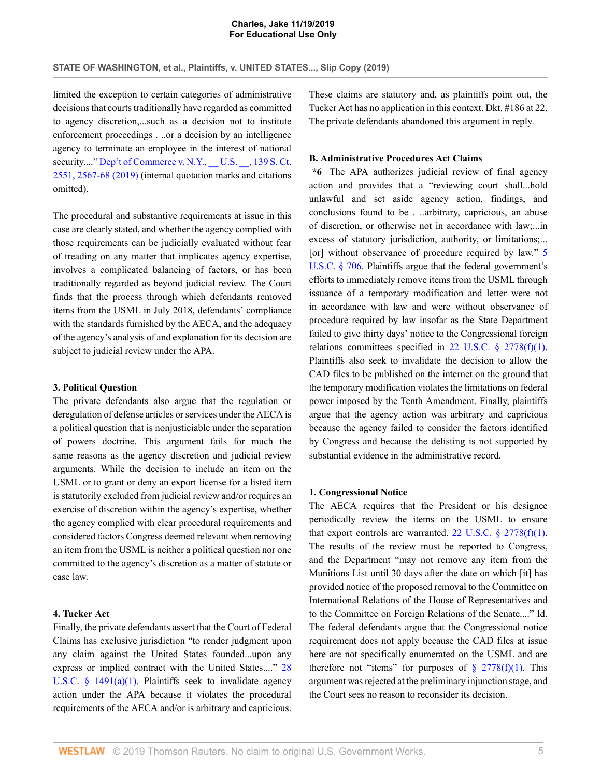limited the exception to certain categories of administrative decisions that courts traditionally have regarded as committed to agency discretion,...such as a decision not to institute enforcement proceedings . ..or a decision by an intelligence agency to terminate an employee in the interest of national security...." Dep't of Commerce v. N.Y., U.S. , 139 S. Ct. [2551, 2567-68 \(2019\)](http://www.westlaw.com/Link/Document/FullText?findType=Y&serNum=2048580357&pubNum=0000708&originatingDoc=I0fdb70a005f411eab410ab1c3b910894&refType=RP&fi=co_pp_sp_708_2567&originationContext=document&vr=3.0&rs=cblt1.0&transitionType=DocumentItem&contextData=(sc.AlertsClip)#co_pp_sp_708_2567) (internal quotation marks and citations omitted).

The procedural and substantive requirements at issue in this case are clearly stated, and whether the agency complied with those requirements can be judicially evaluated without fear of treading on any matter that implicates agency expertise, involves a complicated balancing of factors, or has been traditionally regarded as beyond judicial review. The Court finds that the process through which defendants removed items from the USML in July 2018, defendants' compliance with the standards furnished by the AECA, and the adequacy of the agency's analysis of and explanation for its decision are subject to judicial review under the APA.

#### **3. Political Question**

The private defendants also argue that the regulation or deregulation of defense articles or services under the AECA is a political question that is nonjusticiable under the separation of powers doctrine. This argument fails for much the same reasons as the agency discretion and judicial review arguments. While the decision to include an item on the USML or to grant or deny an export license for a listed item is statutorily excluded from judicial review and/or requires an exercise of discretion within the agency's expertise, whether the agency complied with clear procedural requirements and considered factors Congress deemed relevant when removing an item from the USML is neither a political question nor one committed to the agency's discretion as a matter of statute or case law.

## **4. Tucker Act**

Finally, the private defendants assert that the Court of Federal Claims has exclusive jurisdiction "to render judgment upon any claim against the United States founded...upon any express or implied contract with the United States...." [28](http://www.westlaw.com/Link/Document/FullText?findType=L&pubNum=1000546&cite=28USCAS1491&originatingDoc=I0fdb70a005f411eab410ab1c3b910894&refType=RB&originationContext=document&vr=3.0&rs=cblt1.0&transitionType=DocumentItem&contextData=(sc.AlertsClip)#co_pp_7b9b000044381) U.S.C.  $\S$  1491(a)(1). Plaintiffs seek to invalidate agency action under the APA because it violates the procedural requirements of the AECA and/or is arbitrary and capricious. These claims are statutory and, as plaintiffs point out, the Tucker Act has no application in this context. Dkt. #186 at 22. The private defendants abandoned this argument in reply.

#### **B. Administrative Procedures Act Claims**

**\*6** The APA authorizes judicial review of final agency action and provides that a "reviewing court shall...hold unlawful and set aside agency action, findings, and conclusions found to be . ..arbitrary, capricious, an abuse of discretion, or otherwise not in accordance with law;...in excess of statutory jurisdiction, authority, or limitations;... [or] without observance of procedure required by law." [5](http://www.westlaw.com/Link/Document/FullText?findType=L&pubNum=1000546&cite=5USCAS706&originatingDoc=I0fdb70a005f411eab410ab1c3b910894&refType=LQ&originationContext=document&vr=3.0&rs=cblt1.0&transitionType=DocumentItem&contextData=(sc.AlertsClip)) [U.S.C. § 706](http://www.westlaw.com/Link/Document/FullText?findType=L&pubNum=1000546&cite=5USCAS706&originatingDoc=I0fdb70a005f411eab410ab1c3b910894&refType=LQ&originationContext=document&vr=3.0&rs=cblt1.0&transitionType=DocumentItem&contextData=(sc.AlertsClip)). Plaintiffs argue that the federal government's efforts to immediately remove items from the USML through issuance of a temporary modification and letter were not in accordance with law and were without observance of procedure required by law insofar as the State Department failed to give thirty days' notice to the Congressional foreign relations committees specified in 22 U.S.C.  $\S$  2778(f)(1). Plaintiffs also seek to invalidate the decision to allow the CAD files to be published on the internet on the ground that the temporary modification violates the limitations on federal power imposed by the Tenth Amendment. Finally, plaintiffs argue that the agency action was arbitrary and capricious because the agency failed to consider the factors identified by Congress and because the delisting is not supported by substantial evidence in the administrative record.

#### **1. Congressional Notice**

The AECA requires that the President or his designee periodically review the items on the USML to ensure that export controls are warranted. 22 U.S.C.  $\S$  2778(f)(1). The results of the review must be reported to Congress, and the Department "may not remove any item from the Munitions List until 30 days after the date on which [it] has provided notice of the proposed removal to the Committee on International Relations of the House of Representatives and to the Committee on Foreign Relations of the Senate...." Id. The federal defendants argue that the Congressional notice requirement does not apply because the CAD files at issue here are not specifically enumerated on the USML and are therefore not "items" for purposes of  $\S$  2778(f)(1). This argument was rejected at the preliminary injunction stage, and the Court sees no reason to reconsider its decision.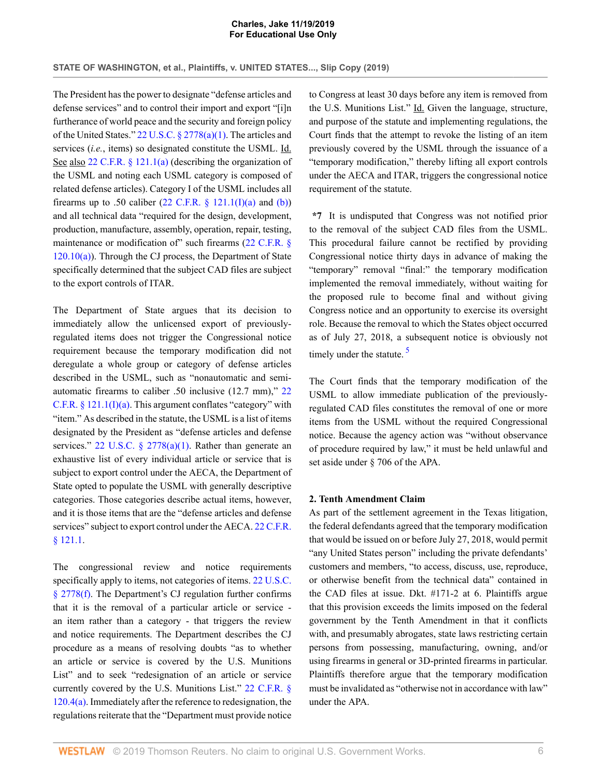The President has the power to designate "defense articles and defense services" and to control their import and export "[i]n furtherance of world peace and the security and foreign policy of the United States." [22 U.S.C. § 2778\(a\)\(1\)](http://www.westlaw.com/Link/Document/FullText?findType=L&pubNum=1000546&cite=22USCAS2778&originatingDoc=I0fdb70a005f411eab410ab1c3b910894&refType=RB&originationContext=document&vr=3.0&rs=cblt1.0&transitionType=DocumentItem&contextData=(sc.AlertsClip)#co_pp_7b9b000044381). The articles and services (*i.e.*, items) so designated constitute the USML. Id. See also [22 C.F.R. § 121.1\(a\)](http://www.westlaw.com/Link/Document/FullText?findType=L&pubNum=1000547&cite=22CFRS121.1&originatingDoc=I0fdb70a005f411eab410ab1c3b910894&refType=RB&originationContext=document&vr=3.0&rs=cblt1.0&transitionType=DocumentItem&contextData=(sc.AlertsClip)#co_pp_8b3b0000958a4) (describing the organization of the USML and noting each USML category is composed of related defense articles). Category I of the USML includes all firearms up to .50 caliber  $(22 \text{ C.F.R. } § 121.1(I)(a)$  and  $(b))$ and all technical data "required for the design, development, production, manufacture, assembly, operation, repair, testing, maintenance or modification of" such firearms [\(22 C.F.R. §](http://www.westlaw.com/Link/Document/FullText?findType=L&pubNum=1000547&cite=22CFRS120.10&originatingDoc=I0fdb70a005f411eab410ab1c3b910894&refType=RB&originationContext=document&vr=3.0&rs=cblt1.0&transitionType=DocumentItem&contextData=(sc.AlertsClip)#co_pp_8b3b0000958a4)  $120.10(a)$ ). Through the CJ process, the Department of State specifically determined that the subject CAD files are subject to the export controls of ITAR.

The Department of State argues that its decision to immediately allow the unlicensed export of previouslyregulated items does not trigger the Congressional notice requirement because the temporary modification did not deregulate a whole group or category of defense articles described in the USML, such as "nonautomatic and semiautomatic firearms to caliber .50 inclusive (12.7 mm)," [22](http://www.westlaw.com/Link/Document/FullText?findType=L&pubNum=1000547&cite=22CFRS121.1&originatingDoc=I0fdb70a005f411eab410ab1c3b910894&refType=LQ&originationContext=document&vr=3.0&rs=cblt1.0&transitionType=DocumentItem&contextData=(sc.AlertsClip)) C.F.R.  $\S$  121.1(I)(a). This argument conflates "category" with "item." As described in the statute, the USML is a list of items designated by the President as "defense articles and defense services." 22 U.S.C.  $\S$  2778(a)(1). Rather than generate an exhaustive list of every individual article or service that is subject to export control under the AECA, the Department of State opted to populate the USML with generally descriptive categories. Those categories describe actual items, however, and it is those items that are the "defense articles and defense services" subject to export control under the AECA. [22 C.F.R.](http://www.westlaw.com/Link/Document/FullText?findType=L&pubNum=1000547&cite=22CFRS121.1&originatingDoc=I0fdb70a005f411eab410ab1c3b910894&refType=LQ&originationContext=document&vr=3.0&rs=cblt1.0&transitionType=DocumentItem&contextData=(sc.AlertsClip)) [§ 121.1](http://www.westlaw.com/Link/Document/FullText?findType=L&pubNum=1000547&cite=22CFRS121.1&originatingDoc=I0fdb70a005f411eab410ab1c3b910894&refType=LQ&originationContext=document&vr=3.0&rs=cblt1.0&transitionType=DocumentItem&contextData=(sc.AlertsClip)).

The congressional review and notice requirements specifically apply to items, not categories of items. [22 U.S.C.](http://www.westlaw.com/Link/Document/FullText?findType=L&pubNum=1000546&cite=22USCAS2778&originatingDoc=I0fdb70a005f411eab410ab1c3b910894&refType=RB&originationContext=document&vr=3.0&rs=cblt1.0&transitionType=DocumentItem&contextData=(sc.AlertsClip)#co_pp_ae0d0000c5150) [§ 2778\(f\)](http://www.westlaw.com/Link/Document/FullText?findType=L&pubNum=1000546&cite=22USCAS2778&originatingDoc=I0fdb70a005f411eab410ab1c3b910894&refType=RB&originationContext=document&vr=3.0&rs=cblt1.0&transitionType=DocumentItem&contextData=(sc.AlertsClip)#co_pp_ae0d0000c5150). The Department's CJ regulation further confirms that it is the removal of a particular article or service an item rather than a category - that triggers the review and notice requirements. The Department describes the CJ procedure as a means of resolving doubts "as to whether an article or service is covered by the U.S. Munitions List" and to seek "redesignation of an article or service currently covered by the U.S. Munitions List." [22 C.F.R. §](http://www.westlaw.com/Link/Document/FullText?findType=L&pubNum=1000547&cite=22CFRS120.4&originatingDoc=I0fdb70a005f411eab410ab1c3b910894&refType=RB&originationContext=document&vr=3.0&rs=cblt1.0&transitionType=DocumentItem&contextData=(sc.AlertsClip)#co_pp_8b3b0000958a4) [120.4\(a\).](http://www.westlaw.com/Link/Document/FullText?findType=L&pubNum=1000547&cite=22CFRS120.4&originatingDoc=I0fdb70a005f411eab410ab1c3b910894&refType=RB&originationContext=document&vr=3.0&rs=cblt1.0&transitionType=DocumentItem&contextData=(sc.AlertsClip)#co_pp_8b3b0000958a4) Immediately after the reference to redesignation, the regulations reiterate that the "Department must provide notice

to Congress at least 30 days before any item is removed from the U.S. Munitions List." Id. Given the language, structure, and purpose of the statute and implementing regulations, the Court finds that the attempt to revoke the listing of an item previously covered by the USML through the issuance of a "temporary modification," thereby lifting all export controls under the AECA and ITAR, triggers the congressional notice requirement of the statute.

**\*7** It is undisputed that Congress was not notified prior to the removal of the subject CAD files from the USML. This procedural failure cannot be rectified by providing Congressional notice thirty days in advance of making the "temporary" removal "final:" the temporary modification implemented the removal immediately, without waiting for the proposed rule to become final and without giving Congress notice and an opportunity to exercise its oversight role. Because the removal to which the States object occurred as of July 27, 2018, a subsequent notice is obviously not timely under the statute.  $\frac{5}{9}$  $\frac{5}{9}$  $\frac{5}{9}$ 

<span id="page-5-0"></span>The Court finds that the temporary modification of the USML to allow immediate publication of the previouslyregulated CAD files constitutes the removal of one or more items from the USML without the required Congressional notice. Because the agency action was "without observance of procedure required by law," it must be held unlawful and set aside under § 706 of the APA.

### **2. Tenth Amendment Claim**

As part of the settlement agreement in the Texas litigation, the federal defendants agreed that the temporary modification that would be issued on or before July 27, 2018, would permit "any United States person" including the private defendants' customers and members, "to access, discuss, use, reproduce, or otherwise benefit from the technical data" contained in the CAD files at issue. Dkt. #171-2 at 6. Plaintiffs argue that this provision exceeds the limits imposed on the federal government by the Tenth Amendment in that it conflicts with, and presumably abrogates, state laws restricting certain persons from possessing, manufacturing, owning, and/or using firearms in general or 3D-printed firearms in particular. Plaintiffs therefore argue that the temporary modification must be invalidated as "otherwise not in accordance with law" under the APA.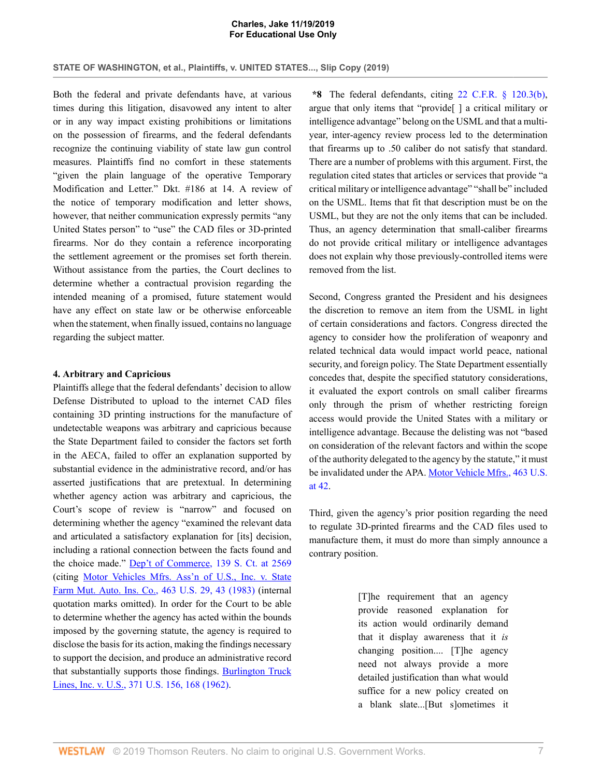**STATE OF WASHINGTON, et al., Plaintiffs, v. UNITED STATES..., Slip Copy (2019)**

Both the federal and private defendants have, at various times during this litigation, disavowed any intent to alter or in any way impact existing prohibitions or limitations on the possession of firearms, and the federal defendants recognize the continuing viability of state law gun control measures. Plaintiffs find no comfort in these statements "given the plain language of the operative Temporary Modification and Letter." Dkt. #186 at 14. A review of the notice of temporary modification and letter shows, however, that neither communication expressly permits "any United States person" to "use" the CAD files or 3D-printed firearms. Nor do they contain a reference incorporating the settlement agreement or the promises set forth therein. Without assistance from the parties, the Court declines to determine whether a contractual provision regarding the intended meaning of a promised, future statement would have any effect on state law or be otherwise enforceable when the statement, when finally issued, contains no language regarding the subject matter.

#### **4. Arbitrary and Capricious**

Plaintiffs allege that the federal defendants' decision to allow Defense Distributed to upload to the internet CAD files containing 3D printing instructions for the manufacture of undetectable weapons was arbitrary and capricious because the State Department failed to consider the factors set forth in the AECA, failed to offer an explanation supported by substantial evidence in the administrative record, and/or has asserted justifications that are pretextual. In determining whether agency action was arbitrary and capricious, the Court's scope of review is "narrow" and focused on determining whether the agency "examined the relevant data and articulated a satisfactory explanation for [its] decision, including a rational connection between the facts found and the choice made." [Dep't of Commerce, 139 S. Ct. at 2569](http://www.westlaw.com/Link/Document/FullText?findType=Y&serNum=2048580357&pubNum=0000708&originatingDoc=I0fdb70a005f411eab410ab1c3b910894&refType=RP&fi=co_pp_sp_708_2569&originationContext=document&vr=3.0&rs=cblt1.0&transitionType=DocumentItem&contextData=(sc.AlertsClip)#co_pp_sp_708_2569) (citing [Motor Vehicles Mfrs. Ass'n of U.S., Inc. v. State](http://www.westlaw.com/Link/Document/FullText?findType=Y&serNum=1983129661&pubNum=0000780&originatingDoc=I0fdb70a005f411eab410ab1c3b910894&refType=RP&fi=co_pp_sp_780_43&originationContext=document&vr=3.0&rs=cblt1.0&transitionType=DocumentItem&contextData=(sc.AlertsClip)#co_pp_sp_780_43) [Farm Mut. Auto. Ins. Co., 463 U.S. 29, 43 \(1983\)](http://www.westlaw.com/Link/Document/FullText?findType=Y&serNum=1983129661&pubNum=0000780&originatingDoc=I0fdb70a005f411eab410ab1c3b910894&refType=RP&fi=co_pp_sp_780_43&originationContext=document&vr=3.0&rs=cblt1.0&transitionType=DocumentItem&contextData=(sc.AlertsClip)#co_pp_sp_780_43) (internal quotation marks omitted). In order for the Court to be able to determine whether the agency has acted within the bounds imposed by the governing statute, the agency is required to disclose the basis for its action, making the findings necessary to support the decision, and produce an administrative record that substantially supports those findings. [Burlington Truck](http://www.westlaw.com/Link/Document/FullText?findType=Y&serNum=1962127686&pubNum=0000780&originatingDoc=I0fdb70a005f411eab410ab1c3b910894&refType=RP&fi=co_pp_sp_780_168&originationContext=document&vr=3.0&rs=cblt1.0&transitionType=DocumentItem&contextData=(sc.AlertsClip)#co_pp_sp_780_168) [Lines, Inc. v. U.S., 371 U.S. 156, 168 \(1962\)](http://www.westlaw.com/Link/Document/FullText?findType=Y&serNum=1962127686&pubNum=0000780&originatingDoc=I0fdb70a005f411eab410ab1c3b910894&refType=RP&fi=co_pp_sp_780_168&originationContext=document&vr=3.0&rs=cblt1.0&transitionType=DocumentItem&contextData=(sc.AlertsClip)#co_pp_sp_780_168).

**\*8** The federal defendants, citing [22 C.F.R. § 120.3\(b\)](http://www.westlaw.com/Link/Document/FullText?findType=L&pubNum=1000547&cite=22CFRS120.3&originatingDoc=I0fdb70a005f411eab410ab1c3b910894&refType=RB&originationContext=document&vr=3.0&rs=cblt1.0&transitionType=DocumentItem&contextData=(sc.AlertsClip)#co_pp_a83b000018c76), argue that only items that "provide[ ] a critical military or intelligence advantage" belong on the USML and that a multiyear, inter-agency review process led to the determination that firearms up to .50 caliber do not satisfy that standard. There are a number of problems with this argument. First, the regulation cited states that articles or services that provide "a critical military or intelligence advantage" "shall be" included on the USML. Items that fit that description must be on the USML, but they are not the only items that can be included. Thus, an agency determination that small-caliber firearms do not provide critical military or intelligence advantages does not explain why those previously-controlled items were removed from the list.

Second, Congress granted the President and his designees the discretion to remove an item from the USML in light of certain considerations and factors. Congress directed the agency to consider how the proliferation of weaponry and related technical data would impact world peace, national security, and foreign policy. The State Department essentially concedes that, despite the specified statutory considerations, it evaluated the export controls on small caliber firearms only through the prism of whether restricting foreign access would provide the United States with a military or intelligence advantage. Because the delisting was not "based on consideration of the relevant factors and within the scope of the authority delegated to the agency by the statute," it must be invalidated under the APA. [Motor Vehicle Mfrs., 463 U.S.](http://www.westlaw.com/Link/Document/FullText?findType=Y&serNum=1983129661&pubNum=0000780&originatingDoc=I0fdb70a005f411eab410ab1c3b910894&refType=RP&fi=co_pp_sp_780_42&originationContext=document&vr=3.0&rs=cblt1.0&transitionType=DocumentItem&contextData=(sc.AlertsClip)#co_pp_sp_780_42) [at 42.](http://www.westlaw.com/Link/Document/FullText?findType=Y&serNum=1983129661&pubNum=0000780&originatingDoc=I0fdb70a005f411eab410ab1c3b910894&refType=RP&fi=co_pp_sp_780_42&originationContext=document&vr=3.0&rs=cblt1.0&transitionType=DocumentItem&contextData=(sc.AlertsClip)#co_pp_sp_780_42)

Third, given the agency's prior position regarding the need to regulate 3D-printed firearms and the CAD files used to manufacture them, it must do more than simply announce a contrary position.

> [T]he requirement that an agency provide reasoned explanation for its action would ordinarily demand that it display awareness that it *is* changing position.... [T]he agency need not always provide a more detailed justification than what would suffice for a new policy created on a blank slate...[But s]ometimes it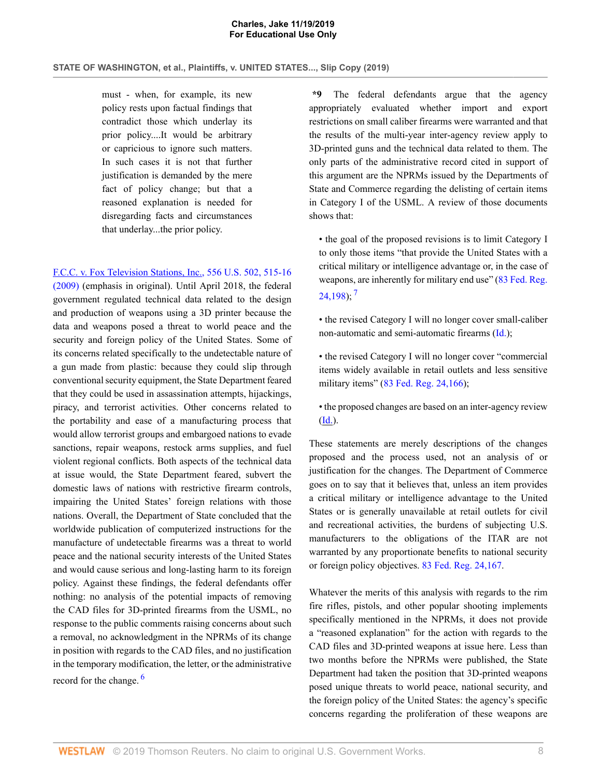must - when, for example, its new policy rests upon factual findings that contradict those which underlay its prior policy....It would be arbitrary or capricious to ignore such matters. In such cases it is not that further justification is demanded by the mere fact of policy change; but that a reasoned explanation is needed for disregarding facts and circumstances that underlay...the prior policy.

[F.C.C. v. Fox Television Stations, Inc., 556 U.S. 502, 515-16](http://www.westlaw.com/Link/Document/FullText?findType=Y&serNum=2018684429&pubNum=0000780&originatingDoc=I0fdb70a005f411eab410ab1c3b910894&refType=RP&fi=co_pp_sp_780_515&originationContext=document&vr=3.0&rs=cblt1.0&transitionType=DocumentItem&contextData=(sc.AlertsClip)#co_pp_sp_780_515) [\(2009\)](http://www.westlaw.com/Link/Document/FullText?findType=Y&serNum=2018684429&pubNum=0000780&originatingDoc=I0fdb70a005f411eab410ab1c3b910894&refType=RP&fi=co_pp_sp_780_515&originationContext=document&vr=3.0&rs=cblt1.0&transitionType=DocumentItem&contextData=(sc.AlertsClip)#co_pp_sp_780_515) (emphasis in original). Until April 2018, the federal government regulated technical data related to the design and production of weapons using a 3D printer because the data and weapons posed a threat to world peace and the security and foreign policy of the United States. Some of its concerns related specifically to the undetectable nature of a gun made from plastic: because they could slip through conventional security equipment, the State Department feared that they could be used in assassination attempts, hijackings, piracy, and terrorist activities. Other concerns related to the portability and ease of a manufacturing process that would allow terrorist groups and embargoed nations to evade sanctions, repair weapons, restock arms supplies, and fuel violent regional conflicts. Both aspects of the technical data at issue would, the State Department feared, subvert the domestic laws of nations with restrictive firearm controls, impairing the United States' foreign relations with those nations. Overall, the Department of State concluded that the worldwide publication of computerized instructions for the manufacture of undetectable firearms was a threat to world peace and the national security interests of the United States and would cause serious and long-lasting harm to its foreign policy. Against these findings, the federal defendants offer nothing: no analysis of the potential impacts of removing the CAD files for 3D-printed firearms from the USML, no response to the public comments raising concerns about such a removal, no acknowledgment in the NPRMs of its change in position with regards to the CAD files, and no justification in the temporary modification, the letter, or the administrative record for the change.<sup>[6](#page-9-5)</sup>

**\*9** The federal defendants argue that the agency appropriately evaluated whether import and export restrictions on small caliber firearms were warranted and that the results of the multi-year inter-agency review apply to 3D-printed guns and the technical data related to them. The only parts of the administrative record cited in support of this argument are the NPRMs issued by the Departments of State and Commerce regarding the delisting of certain items in Category I of the USML. A review of those documents shows that:

• the goal of the proposed revisions is to limit Category I to only those items "that provide the United States with a critical military or intelligence advantage or, in the case of weapons, are inherently for military end use" ([83 Fed. Reg.](http://www.westlaw.com/Link/Document/FullText?findType=l&pubNum=0001037&cite=UUID(I574323105F2011E8945B95D18DE10AB4)&originatingDoc=I0fdb70a005f411eab410ab1c3b910894&refType=CP&fi=co_pp_sp_1037_24198&originationContext=document&vr=3.0&rs=cblt1.0&transitionType=DocumentItem&contextData=(sc.AlertsClip)#co_pp_sp_1037_24198)  $24,198$ ;  $^7$  $^7$ 

<span id="page-7-1"></span>• the revised Category I will no longer cover small-caliber non-automatic and semi-automatic firearms [\(Id.](http://www.westlaw.com/Link/Document/FullText?findType=l&pubNum=0001037&cite=UUID(I574323105F2011E8945B95D18DE10AB4)&originatingDoc=I0fdb70a005f411eab410ab1c3b910894&refType=CP&fi=co_pp_sp_1037_24198&originationContext=document&vr=3.0&rs=cblt1.0&transitionType=DocumentItem&contextData=(sc.AlertsClip)#co_pp_sp_1037_24198));

• the revised Category I will no longer cover "commercial items widely available in retail outlets and less sensitive military items" ([83 Fed. Reg. 24,166](http://www.westlaw.com/Link/Document/FullText?findType=l&pubNum=0001037&cite=UUID(I573A97905F2011E8BAA0DFC3A9326D27)&originatingDoc=I0fdb70a005f411eab410ab1c3b910894&refType=CP&fi=co_pp_sp_1037_24166&originationContext=document&vr=3.0&rs=cblt1.0&transitionType=DocumentItem&contextData=(sc.AlertsClip)#co_pp_sp_1037_24166));

• the proposed changes are based on an inter-agency review [\(Id.](http://www.westlaw.com/Link/Document/FullText?findType=l&pubNum=0001037&cite=UUID(I573A97905F2011E8BAA0DFC3A9326D27)&originatingDoc=I0fdb70a005f411eab410ab1c3b910894&refType=CP&fi=co_pp_sp_1037_24166&originationContext=document&vr=3.0&rs=cblt1.0&transitionType=DocumentItem&contextData=(sc.AlertsClip)#co_pp_sp_1037_24166)).

These statements are merely descriptions of the changes proposed and the process used, not an analysis of or justification for the changes. The Department of Commerce goes on to say that it believes that, unless an item provides a critical military or intelligence advantage to the United States or is generally unavailable at retail outlets for civil and recreational activities, the burdens of subjecting U.S. manufacturers to the obligations of the ITAR are not warranted by any proportionate benefits to national security or foreign policy objectives. [83 Fed. Reg. 24,167](http://www.westlaw.com/Link/Document/FullText?findType=l&pubNum=0001037&cite=UUID(I573A97905F2011E8BAA0DFC3A9326D27)&originatingDoc=I0fdb70a005f411eab410ab1c3b910894&refType=CP&fi=co_pp_sp_1037_24167&originationContext=document&vr=3.0&rs=cblt1.0&transitionType=DocumentItem&contextData=(sc.AlertsClip)#co_pp_sp_1037_24167).

<span id="page-7-0"></span>Whatever the merits of this analysis with regards to the rim fire rifles, pistols, and other popular shooting implements specifically mentioned in the NPRMs, it does not provide a "reasoned explanation" for the action with regards to the CAD files and 3D-printed weapons at issue here. Less than two months before the NPRMs were published, the State Department had taken the position that 3D-printed weapons posed unique threats to world peace, national security, and the foreign policy of the United States: the agency's specific concerns regarding the proliferation of these weapons are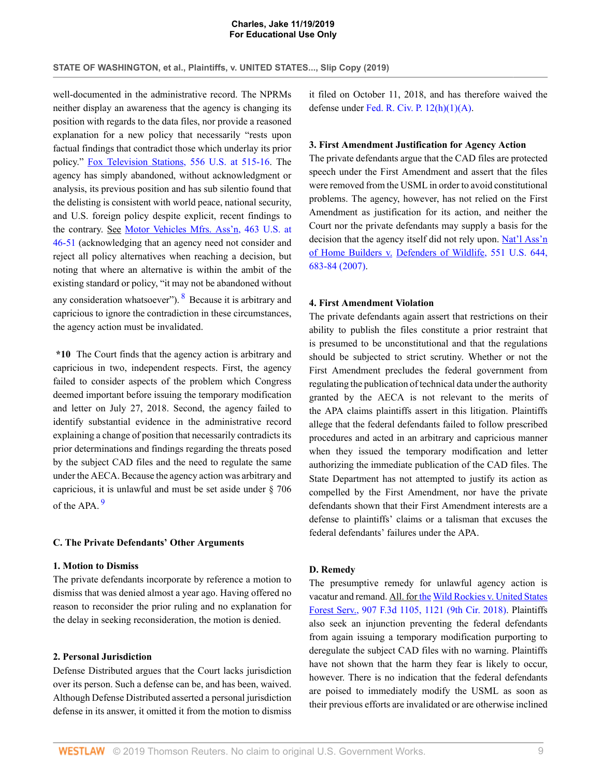well-documented in the administrative record. The NPRMs neither display an awareness that the agency is changing its position with regards to the data files, nor provide a reasoned explanation for a new policy that necessarily "rests upon factual findings that contradict those which underlay its prior policy." [Fox Television Stations, 556 U.S. at 515-16.](http://www.westlaw.com/Link/Document/FullText?findType=Y&serNum=2018684429&pubNum=0000780&originatingDoc=I0fdb70a005f411eab410ab1c3b910894&refType=RP&fi=co_pp_sp_780_515&originationContext=document&vr=3.0&rs=cblt1.0&transitionType=DocumentItem&contextData=(sc.AlertsClip)#co_pp_sp_780_515) The agency has simply abandoned, without acknowledgment or analysis, its previous position and has sub silentio found that the delisting is consistent with world peace, national security, and U.S. foreign policy despite explicit, recent findings to the contrary. See [Motor Vehicles Mfrs. Ass'n, 463 U.S. at](http://www.westlaw.com/Link/Document/FullText?findType=Y&serNum=1983129661&pubNum=0000780&originatingDoc=I0fdb70a005f411eab410ab1c3b910894&refType=RP&fi=co_pp_sp_780_46&originationContext=document&vr=3.0&rs=cblt1.0&transitionType=DocumentItem&contextData=(sc.AlertsClip)#co_pp_sp_780_46) [46-51](http://www.westlaw.com/Link/Document/FullText?findType=Y&serNum=1983129661&pubNum=0000780&originatingDoc=I0fdb70a005f411eab410ab1c3b910894&refType=RP&fi=co_pp_sp_780_46&originationContext=document&vr=3.0&rs=cblt1.0&transitionType=DocumentItem&contextData=(sc.AlertsClip)#co_pp_sp_780_46) (acknowledging that an agency need not consider and reject all policy alternatives when reaching a decision, but noting that where an alternative is within the ambit of the existing standard or policy, "it may not be abandoned without any consideration whatsoever"). <sup>[8](#page-9-7)</sup> Because it is arbitrary and capricious to ignore the contradiction in these circumstances, the agency action must be invalidated.

**\*10** The Court finds that the agency action is arbitrary and capricious in two, independent respects. First, the agency failed to consider aspects of the problem which Congress deemed important before issuing the temporary modification and letter on July 27, 2018. Second, the agency failed to identify substantial evidence in the administrative record explaining a change of position that necessarily contradicts its prior determinations and findings regarding the threats posed by the subject CAD files and the need to regulate the same under the AECA. Because the agency action was arbitrary and capricious, it is unlawful and must be set aside under § 706 of the APA<sup>[9](#page-10-0)</sup>

### <span id="page-8-1"></span>**C. The Private Defendants' Other Arguments**

## **1. Motion to Dismiss**

The private defendants incorporate by reference a motion to dismiss that was denied almost a year ago. Having offered no reason to reconsider the prior ruling and no explanation for the delay in seeking reconsideration, the motion is denied.

### **2. Personal Jurisdiction**

Defense Distributed argues that the Court lacks jurisdiction over its person. Such a defense can be, and has been, waived. Although Defense Distributed asserted a personal jurisdiction defense in its answer, it omitted it from the motion to dismiss it filed on October 11, 2018, and has therefore waived the defense under [Fed. R. Civ. P. 12\(h\)\(1\)\(A\)](http://www.westlaw.com/Link/Document/FullText?findType=L&pubNum=1000600&cite=USFRCPR12&originatingDoc=I0fdb70a005f411eab410ab1c3b910894&refType=LQ&originationContext=document&vr=3.0&rs=cblt1.0&transitionType=DocumentItem&contextData=(sc.AlertsClip)).

### **3. First Amendment Justification for Agency Action**

The private defendants argue that the CAD files are protected speech under the First Amendment and assert that the files were removed from the USML in order to avoid constitutional problems. The agency, however, has not relied on the First Amendment as justification for its action, and neither the Court nor the private defendants may supply a basis for the decision that the agency itself did not rely upon. [Nat'l Ass'n](http://www.westlaw.com/Link/Document/FullText?findType=Y&serNum=2012538116&pubNum=0000780&originatingDoc=I0fdb70a005f411eab410ab1c3b910894&refType=RP&fi=co_pp_sp_780_683&originationContext=document&vr=3.0&rs=cblt1.0&transitionType=DocumentItem&contextData=(sc.AlertsClip)#co_pp_sp_780_683) of Home Builders v. [Defenders of Wildlife, 551 U.S. 644,](http://www.westlaw.com/Link/Document/FullText?findType=Y&serNum=2012538116&pubNum=0000780&originatingDoc=I0fdb70a005f411eab410ab1c3b910894&refType=RP&fi=co_pp_sp_780_683&originationContext=document&vr=3.0&rs=cblt1.0&transitionType=DocumentItem&contextData=(sc.AlertsClip)#co_pp_sp_780_683) [683-84 \(2007\)](http://www.westlaw.com/Link/Document/FullText?findType=Y&serNum=2012538116&pubNum=0000780&originatingDoc=I0fdb70a005f411eab410ab1c3b910894&refType=RP&fi=co_pp_sp_780_683&originationContext=document&vr=3.0&rs=cblt1.0&transitionType=DocumentItem&contextData=(sc.AlertsClip)#co_pp_sp_780_683).

## <span id="page-8-0"></span>**4. First Amendment Violation**

The private defendants again assert that restrictions on their ability to publish the files constitute a prior restraint that is presumed to be unconstitutional and that the regulations should be subjected to strict scrutiny. Whether or not the First Amendment precludes the federal government from regulating the publication of technical data under the authority granted by the AECA is not relevant to the merits of the APA claims plaintiffs assert in this litigation. Plaintiffs allege that the federal defendants failed to follow prescribed procedures and acted in an arbitrary and capricious manner when they issued the temporary modification and letter authorizing the immediate publication of the CAD files. The State Department has not attempted to justify its action as compelled by the First Amendment, nor have the private defendants shown that their First Amendment interests are a defense to plaintiffs' claims or a talisman that excuses the federal defendants' failures under the APA.

#### **D. Remedy**

The presumptive remedy for unlawful agency action is vacatur and remand. All. for the [Wild Rockies v. United States](http://www.westlaw.com/Link/Document/FullText?findType=Y&serNum=2045869400&pubNum=0000506&originatingDoc=I0fdb70a005f411eab410ab1c3b910894&refType=RP&fi=co_pp_sp_506_1121&originationContext=document&vr=3.0&rs=cblt1.0&transitionType=DocumentItem&contextData=(sc.AlertsClip)#co_pp_sp_506_1121) [Forest Serv., 907 F.3d 1105, 1121 \(9th Cir. 2018\).](http://www.westlaw.com/Link/Document/FullText?findType=Y&serNum=2045869400&pubNum=0000506&originatingDoc=I0fdb70a005f411eab410ab1c3b910894&refType=RP&fi=co_pp_sp_506_1121&originationContext=document&vr=3.0&rs=cblt1.0&transitionType=DocumentItem&contextData=(sc.AlertsClip)#co_pp_sp_506_1121) Plaintiffs also seek an injunction preventing the federal defendants from again issuing a temporary modification purporting to deregulate the subject CAD files with no warning. Plaintiffs have not shown that the harm they fear is likely to occur, however. There is no indication that the federal defendants are poised to immediately modify the USML as soon as their previous efforts are invalidated or are otherwise inclined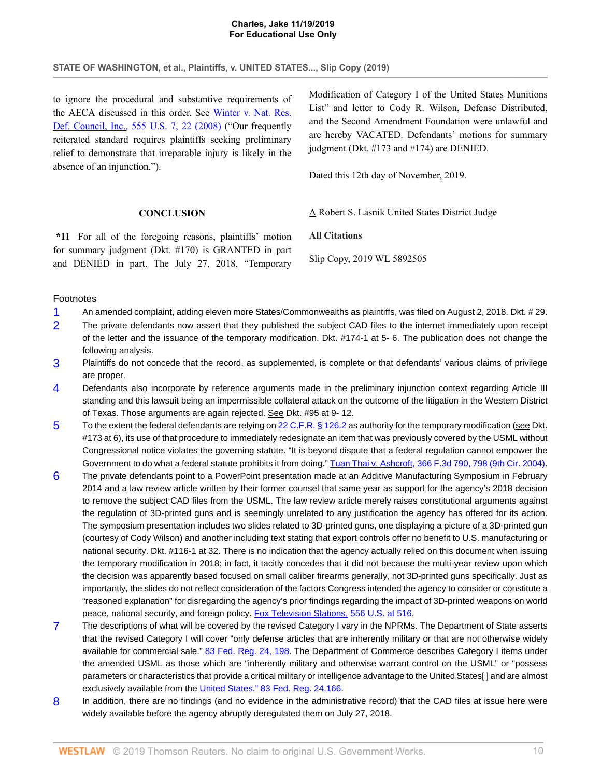# **STATE OF WASHINGTON, et al., Plaintiffs, v. UNITED STATES..., Slip Copy (2019)**

to ignore the procedural and substantive requirements of the AECA discussed in this order. See [Winter v. Nat. Res.](http://www.westlaw.com/Link/Document/FullText?findType=Y&serNum=2017439125&pubNum=0000780&originatingDoc=I0fdb70a005f411eab410ab1c3b910894&refType=RP&fi=co_pp_sp_780_22&originationContext=document&vr=3.0&rs=cblt1.0&transitionType=DocumentItem&contextData=(sc.AlertsClip)#co_pp_sp_780_22) [Def. Council, Inc., 555 U.S. 7, 22 \(2008\)](http://www.westlaw.com/Link/Document/FullText?findType=Y&serNum=2017439125&pubNum=0000780&originatingDoc=I0fdb70a005f411eab410ab1c3b910894&refType=RP&fi=co_pp_sp_780_22&originationContext=document&vr=3.0&rs=cblt1.0&transitionType=DocumentItem&contextData=(sc.AlertsClip)#co_pp_sp_780_22) ("Our frequently reiterated standard requires plaintiffs seeking preliminary relief to demonstrate that irreparable injury is likely in the absence of an injunction.").

**CONCLUSION**

**\*11** For all of the foregoing reasons, plaintiffs' motion for summary judgment (Dkt. #170) is GRANTED in part and DENIED in part. The July 27, 2018, "Temporary

Modification of Category I of the United States Munitions List" and letter to Cody R. Wilson, Defense Distributed, and the Second Amendment Foundation were unlawful and are hereby VACATED. Defendants' motions for summary judgment (Dkt. #173 and #174) are DENIED.

Dated this 12th day of November, 2019.

A Robert S. Lasnik United States District Judge

## **All Citations**

Slip Copy, 2019 WL 5892505

## Footnotes

- <span id="page-9-0"></span>[1](#page-2-0) An amended complaint, adding eleven more States/Commonwealths as plaintiffs, was filed on August 2, 2018. Dkt. # 29.
- <span id="page-9-1"></span>[2](#page-2-1) The private defendants now assert that they published the subject CAD files to the internet immediately upon receipt of the letter and the issuance of the temporary modification. Dkt. #174-1 at 5- 6. The publication does not change the following analysis.
- <span id="page-9-2"></span>[3](#page-2-2) Plaintiffs do not concede that the record, as supplemented, is complete or that defendants' various claims of privilege are proper.
- <span id="page-9-3"></span>[4](#page-2-3) Defendants also incorporate by reference arguments made in the preliminary injunction context regarding Article III standing and this lawsuit being an impermissible collateral attack on the outcome of the litigation in the Western District of Texas. Those arguments are again rejected. See Dkt. #95 at 9- 12.
- <span id="page-9-4"></span>[5](#page-5-0) To the extent the federal defendants are relying on [22 C.F.R. § 126.2](http://www.westlaw.com/Link/Document/FullText?findType=L&pubNum=1000547&cite=22CFRS126.2&originatingDoc=I0fdb70a005f411eab410ab1c3b910894&refType=LQ&originationContext=document&vr=3.0&rs=cblt1.0&transitionType=DocumentItem&contextData=(sc.AlertsClip)) as authority for the temporary modification (see Dkt. #173 at 6), its use of that procedure to immediately redesignate an item that was previously covered by the USML without Congressional notice violates the governing statute. "It is beyond dispute that a federal regulation cannot empower the Government to do what a federal statute prohibits it from doing." [Tuan Thai v. Ashcroft, 366 F.3d 790, 798 \(9th Cir. 2004\)](http://www.westlaw.com/Link/Document/FullText?findType=Y&serNum=2004384662&pubNum=0000506&originatingDoc=I0fdb70a005f411eab410ab1c3b910894&refType=RP&fi=co_pp_sp_506_798&originationContext=document&vr=3.0&rs=cblt1.0&transitionType=DocumentItem&contextData=(sc.AlertsClip)#co_pp_sp_506_798).
- <span id="page-9-5"></span>[6](#page-7-0) The private defendants point to a PowerPoint presentation made at an Additive Manufacturing Symposium in February 2014 and a law review article written by their former counsel that same year as support for the agency's 2018 decision to remove the subject CAD files from the USML. The law review article merely raises constitutional arguments against the regulation of 3D-printed guns and is seemingly unrelated to any justification the agency has offered for its action. The symposium presentation includes two slides related to 3D-printed guns, one displaying a picture of a 3D-printed gun (courtesy of Cody Wilson) and another including text stating that export controls offer no benefit to U.S. manufacturing or national security. Dkt. #116-1 at 32. There is no indication that the agency actually relied on this document when issuing the temporary modification in 2018: in fact, it tacitly concedes that it did not because the multi-year review upon which the decision was apparently based focused on small caliber firearms generally, not 3D-printed guns specifically. Just as importantly, the slides do not reflect consideration of the factors Congress intended the agency to consider or constitute a "reasoned explanation" for disregarding the agency's prior findings regarding the impact of 3D-printed weapons on world peace, national security, and foreign policy. [Fox Television Stations, 556 U.S. at 516.](http://www.westlaw.com/Link/Document/FullText?findType=Y&serNum=2018684429&pubNum=0000780&originatingDoc=I0fdb70a005f411eab410ab1c3b910894&refType=RP&fi=co_pp_sp_780_516&originationContext=document&vr=3.0&rs=cblt1.0&transitionType=DocumentItem&contextData=(sc.AlertsClip)#co_pp_sp_780_516)
- <span id="page-9-6"></span>[7](#page-7-1) The descriptions of what will be covered by the revised Category I vary in the NPRMs. The Department of State asserts that the revised Category I will cover "only defense articles that are inherently military or that are not otherwise widely available for commercial sale." [83 Fed. Reg. 24, 198.](http://www.westlaw.com/Link/Document/FullText?findType=l&pubNum=0001037&cite=UUID(I24864620EF9311E7BDBAF482453A557F)&originatingDoc=I0fdb70a005f411eab410ab1c3b910894&refType=CP&fi=co_pp_sp_1037_24&originationContext=document&vr=3.0&rs=cblt1.0&transitionType=DocumentItem&contextData=(sc.AlertsClip)#co_pp_sp_1037_24) The Department of Commerce describes Category I items under the amended USML as those which are "inherently military and otherwise warrant control on the USML" or "possess parameters or characteristics that provide a critical military or intelligence advantage to the United States[ ] and are almost exclusively available from the [United States." 83 Fed. Reg. 24,166.](http://www.westlaw.com/Link/Document/FullText?findType=l&pubNum=0001037&cite=UUID(I573A97905F2011E8BAA0DFC3A9326D27)&originatingDoc=I0fdb70a005f411eab410ab1c3b910894&refType=CP&fi=co_pp_sp_1037_24166&originationContext=document&vr=3.0&rs=cblt1.0&transitionType=DocumentItem&contextData=(sc.AlertsClip)#co_pp_sp_1037_24166)
- <span id="page-9-7"></span>[8](#page-8-0) In addition, there are no findings (and no evidence in the administrative record) that the CAD files at issue here were widely available before the agency abruptly deregulated them on July 27, 2018.